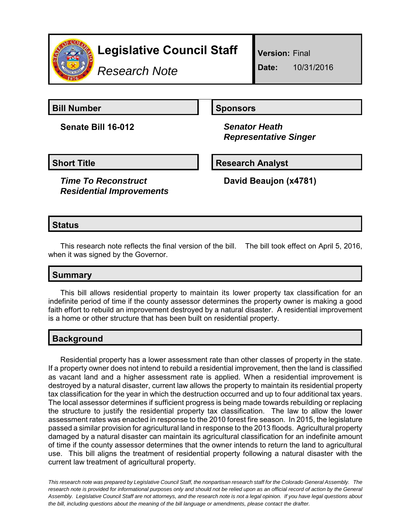

# **Legislative Council Staff**

*Research Note*

**Version:** Final

**Date:** 10/31/2016

**Bill Number Sponsors** 

**Senate Bill 16-012** *Senator Heath*

 *Representative Singer*

**Short Title Community Community Community Research Analyst** 

*Time To Reconstruct Residential Improvements* **David Beaujon (x4781)**

## **Status**

This research note reflects the final version of the bill. The bill took effect on April 5, 2016, when it was signed by the Governor.

### **Summary**

This bill allows residential property to maintain its lower property tax classification for an indefinite period of time if the county assessor determines the property owner is making a good faith effort to rebuild an improvement destroyed by a natural disaster. A residential improvement is a home or other structure that has been built on residential property.

### **Background**

Residential property has a lower assessment rate than other classes of property in the state. If a property owner does not intend to rebuild a residential improvement, then the land is classified as vacant land and a higher assessment rate is applied. When a residential improvement is destroyed by a natural disaster, current law allows the property to maintain its residential property tax classification for the year in which the destruction occurred and up to four additional tax years. The local assessor determines if sufficient progress is being made towards rebuilding or replacing the structure to justify the residential property tax classification. The law to allow the lower assessment rates was enacted in response to the 2010 forest fire season. In 2015, the legislature passed a similar provision for agricultural land in response to the 2013 floods. Agricultural property damaged by a natural disaster can maintain its agricultural classification for an indefinite amount of time if the county assessor determines that the owner intends to return the land to agricultural use. This bill aligns the treatment of residential property following a natural disaster with the current law treatment of agricultural property.

*This research note was prepared by Legislative Council Staff, the nonpartisan research staff for the Colorado General Assembly. The research note is provided for informational purposes only and should not be relied upon as an official record of action by the General Assembly. Legislative Council Staff are not attorneys, and the research note is not a legal opinion. If you have legal questions about the bill, including questions about the meaning of the bill language or amendments, please contact the drafter.*